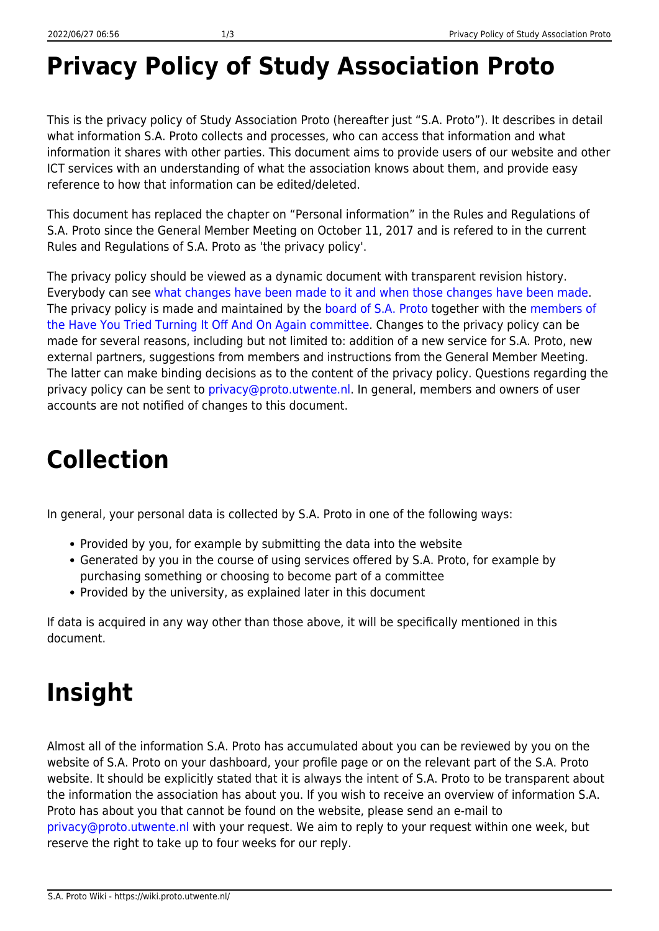#### **Privacy Policy of Study Association Proto**

This is the privacy policy of Study Association Proto (hereafter just "S.A. Proto"). It describes in detail what information S.A. Proto collects and processes, who can access that information and what information it shares with other parties. This document aims to provide users of our website and other ICT services with an understanding of what the association knows about them, and provide easy reference to how that information can be edited/deleted.

This document has replaced the chapter on "Personal information" in the Rules and Regulations of S.A. Proto since the General Member Meeting on October 11, 2017 and is refered to in the current Rules and Regulations of S.A. Proto as 'the privacy policy'.

The privacy policy should be viewed as a dynamic document with transparent revision history. Everybody can see [what changes have been made to it and when those changes have been made.](https://wiki.proto.utwente.nl/ict/privacy/start?do=revisions) The privacy policy is made and maintained by the [board of S.A. Proto](https://www.proto.utwente.nl/page/board) together with the [members of](https://www.proto.utwente.nl/committee/819) [the Have You Tried Turning It Off And On Again committee.](https://www.proto.utwente.nl/committee/819) Changes to the privacy policy can be made for several reasons, including but not limited to: addition of a new service for S.A. Proto, new external partners, suggestions from members and instructions from the General Member Meeting. The latter can make binding decisions as to the content of the privacy policy. Questions regarding the privacy policy can be sent to [privacy@proto.utwente.nl.](mailto:privacy@proto.utwente.nl) In general, members and owners of user accounts are not notified of changes to this document.

## **Collection**

In general, your personal data is collected by S.A. Proto in one of the following ways:

- Provided by you, for example by submitting the data into the website
- Generated by you in the course of using services offered by S.A. Proto, for example by purchasing something or choosing to become part of a committee
- Provided by the university, as explained later in this document

If data is acquired in any way other than those above, it will be specifically mentioned in this document.

### **Insight**

Almost all of the information S.A. Proto has accumulated about you can be reviewed by you on the website of S.A. Proto on your dashboard, your profile page or on the relevant part of the S.A. Proto website. It should be explicitly stated that it is always the intent of S.A. Proto to be transparent about the information the association has about you. If you wish to receive an overview of information S.A. Proto has about you that cannot be found on the website, please send an e-mail to [privacy@proto.utwente.nl](mailto:privacy@proto.utwente.nl) with your request. We aim to reply to your request within one week, but reserve the right to take up to four weeks for our reply.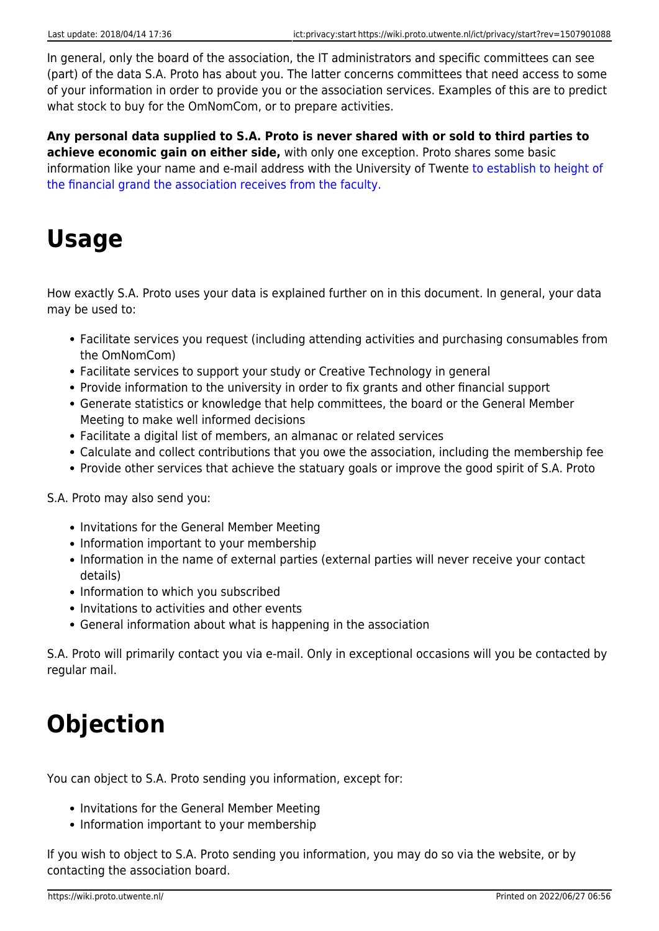In general, only the board of the association, the IT administrators and specific committees can see (part) of the data S.A. Proto has about you. The latter concerns committees that need access to some of your information in order to provide you or the association services. Examples of this are to predict what stock to buy for the OmNomCom, or to prepare activities.

**Any personal data supplied to S.A. Proto is never shared with or sold to third parties to achieve economic gain on either side,** with only one exception. Proto shares some basic information like your name and e-mail address with the University of Twente [to establish to height of](https://wiki.proto.utwente.nl/ict/privacy/details#determining_membership_fees_and_ut_grands) [the financial grand the association receives from the faculty.](https://wiki.proto.utwente.nl/ict/privacy/details#determining_membership_fees_and_ut_grands)

#### **Usage**

How exactly S.A. Proto uses your data is explained further on in this document. In general, your data may be used to:

- Facilitate services you request (including attending activities and purchasing consumables from the OmNomCom)
- Facilitate services to support your study or Creative Technology in general
- Provide information to the university in order to fix grants and other financial support
- Generate statistics or knowledge that help committees, the board or the General Member Meeting to make well informed decisions
- Facilitate a digital list of members, an almanac or related services
- Calculate and collect contributions that you owe the association, including the membership fee
- Provide other services that achieve the statuary goals or improve the good spirit of S.A. Proto

S.A. Proto may also send you:

- Invitations for the General Member Meeting
- Information important to your membership
- Information in the name of external parties (external parties will never receive your contact details)
- Information to which you subscribed
- Invitations to activities and other events
- General information about what is happening in the association

S.A. Proto will primarily contact you via e-mail. Only in exceptional occasions will you be contacted by regular mail.

### **Objection**

You can object to S.A. Proto sending you information, except for:

- Invitations for the General Member Meeting
- Information important to your membership

If you wish to object to S.A. Proto sending you information, you may do so via the website, or by contacting the association board.